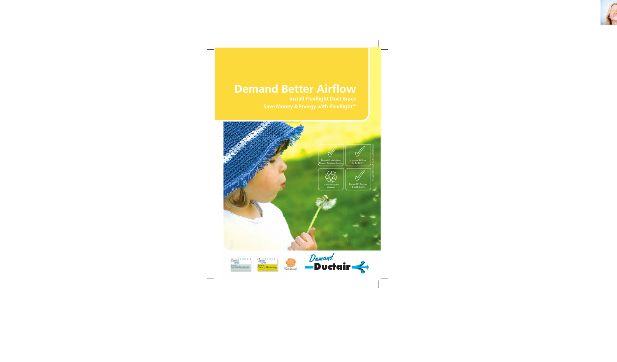# **Demand Better Airflow**

Unit Braceau Unit Braceau Ductor Braceau Ductor Braceau Ductor Braceau Ductor Braceau Ductor Braceau Ductor Br<br>Institute Braceau Ductor Braceau Ductor Braceau Ductor Braceau Ductor Braceau Ductor Braceau Ductor Braceau Du<br>





Carbon<br>Planet <sub>Ductair is</sub><br><mark>Carbon Minimising.</mark> Ductair is committed to measuring and actively minimising its carbon emissions by improving processes, practices and products. em